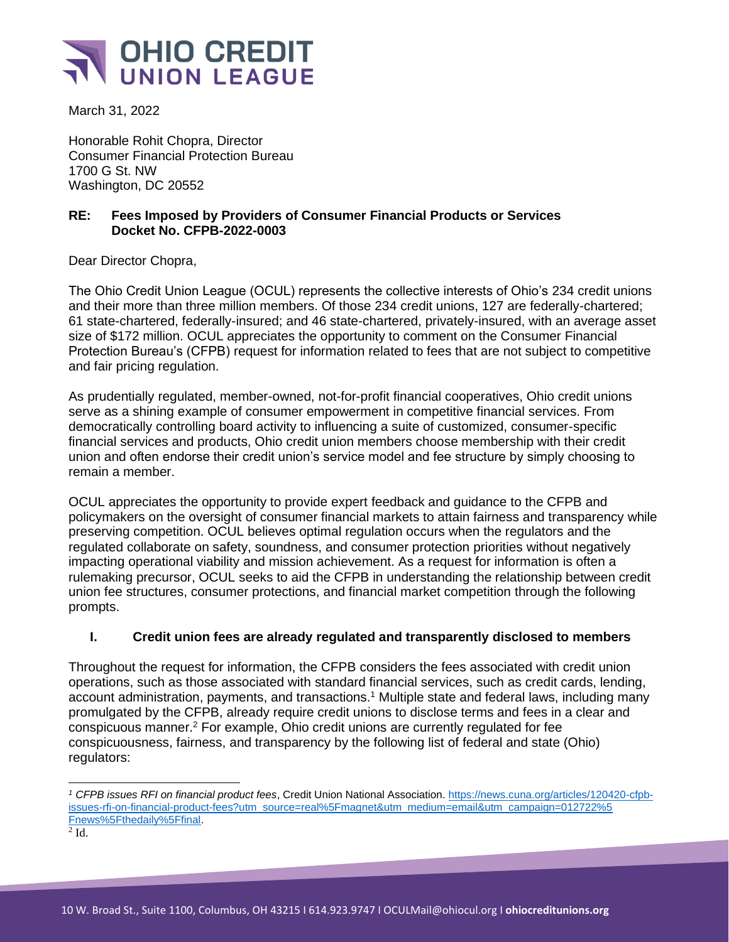

March 31, 2022

Honorable Rohit Chopra, Director Consumer Financial Protection Bureau 1700 G St. NW Washington, DC 20552

## **RE: Fees Imposed by Providers of Consumer Financial Products or Services Docket No. CFPB-2022-0003**

Dear Director Chopra,

The Ohio Credit Union League (OCUL) represents the collective interests of Ohio's 234 credit unions and their more than three million members. Of those 234 credit unions, 127 are federally-chartered; 61 state-chartered, federally-insured; and 46 state-chartered, privately-insured, with an average asset size of \$172 million. OCUL appreciates the opportunity to comment on the Consumer Financial Protection Bureau's (CFPB) request for information related to fees that are not subject to competitive and fair pricing regulation.

As prudentially regulated, member-owned, not-for-profit financial cooperatives, Ohio credit unions serve as a shining example of consumer empowerment in competitive financial services. From democratically controlling board activity to influencing a suite of customized, consumer-specific financial services and products, Ohio credit union members choose membership with their credit union and often endorse their credit union's service model and fee structure by simply choosing to remain a member.

OCUL appreciates the opportunity to provide expert feedback and guidance to the CFPB and policymakers on the oversight of consumer financial markets to attain fairness and transparency while preserving competition. OCUL believes optimal regulation occurs when the regulators and the regulated collaborate on safety, soundness, and consumer protection priorities without negatively impacting operational viability and mission achievement. As a request for information is often a rulemaking precursor, OCUL seeks to aid the CFPB in understanding the relationship between credit union fee structures, consumer protections, and financial market competition through the following prompts.

## **I. Credit union fees are already regulated and transparently disclosed to members**

Throughout the request for information, the CFPB considers the fees associated with credit union operations, such as those associated with standard financial services, such as credit cards, lending, account administration, payments, and transactions. <sup>1</sup> Multiple state and federal laws, including many promulgated by the CFPB, already require credit unions to disclose terms and fees in a clear and conspicuous manner.<sup>2</sup> For example, Ohio credit unions are currently regulated for fee conspicuousness, fairness, and transparency by the following list of federal and state (Ohio) regulators:

 $2$  Id.

*<sup>1</sup> CFPB issues RFI on financial product fees*, Credit Union National Association[. https://news.cuna.org/articles/120420-cfpb](https://news.cuna.org/articles/120420-cfpb-issues-rfi-on-financial-product-fees?utm_source=real%5Fmagnet&utm_medium=email&utm_campaign=012722%5Fnews%5Fthedaily%5Ffinal)[issues-rfi-on-financial-product-fees?utm\\_source=real%5Fmagnet&utm\\_medium=email&utm\\_campaign=012722%5](https://news.cuna.org/articles/120420-cfpb-issues-rfi-on-financial-product-fees?utm_source=real%5Fmagnet&utm_medium=email&utm_campaign=012722%5Fnews%5Fthedaily%5Ffinal) [Fnews%5Fthedaily%5Ffinal.](https://news.cuna.org/articles/120420-cfpb-issues-rfi-on-financial-product-fees?utm_source=real%5Fmagnet&utm_medium=email&utm_campaign=012722%5Fnews%5Fthedaily%5Ffinal)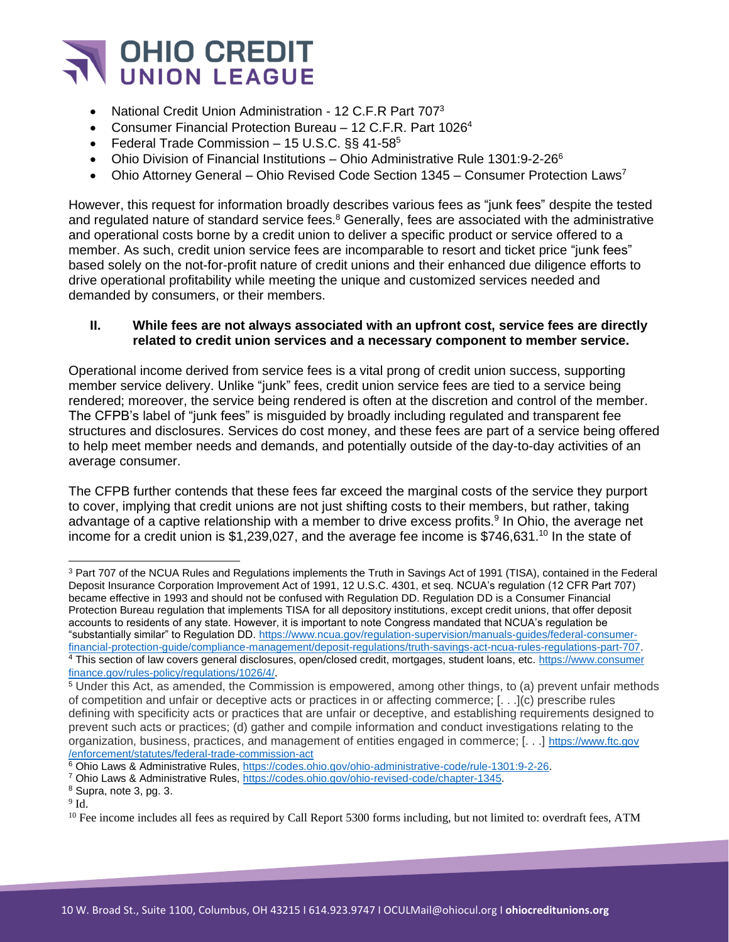

- National Credit Union Administration 12 C.F.R Part 707<sup>3</sup>
- Consumer Financial Protection Bureau 12 C.F.R. Part 1026<sup>4</sup>
- Federal Trade Commission  $-15$  U.S.C. §§ 41-58 $5$
- Ohio Division of Financial Institutions Ohio Administrative Rule 1301:9-2-26 $^6$
- Ohio Attorney General Ohio Revised Code Section 1345 Consumer Protection Laws<sup>7</sup>

However, this request for information broadly describes various fees as "junk fees" despite the tested and regulated nature of standard service fees.<sup>8</sup> Generally, fees are associated with the administrative and operational costs borne by a credit union to deliver a specific product or service offered to a member. As such, credit union service fees are incomparable to resort and ticket price "junk fees" based solely on the not-for-profit nature of credit unions and their enhanced due diligence efforts to drive operational profitability while meeting the unique and customized services needed and demanded by consumers, or their members.

## **II. While fees are not always associated with an upfront cost, service fees are directly related to credit union services and a necessary component to member service.**

Operational income derived from service fees is a vital prong of credit union success, supporting member service delivery. Unlike "junk" fees, credit union service fees are tied to a service being rendered; moreover, the service being rendered is often at the discretion and control of the member. The CFPB's label of "junk fees" is misguided by broadly including regulated and transparent fee structures and disclosures. Services do cost money, and these fees are part of a service being offered to help meet member needs and demands, and potentially outside of the day-to-day activities of an average consumer.

The CFPB further contends that these fees far exceed the marginal costs of the service they purport to cover, implying that credit unions are not just shifting costs to their members, but rather, taking advantage of a captive relationship with a member to drive excess profits.<sup>9</sup> In Ohio, the average net income for a credit union is \$1,239,027, and the average fee income is \$746,631.<sup>10</sup> In the state of

<sup>&</sup>lt;sup>3</sup> Part 707 of the NCUA Rules and Regulations implements the Truth in Savings Act of 1991 (TISA), contained in the Federal Deposit Insurance Corporation Improvement Act of 1991, 12 U.S.C. 4301, et seq. NCUA's regulation (12 CFR Part 707) became effective in 1993 and should not be confused with Regulation DD. Regulation DD is a Consumer Financial Protection Bureau regulation that implements TISA for all depository institutions, except credit unions, that offer deposit accounts to residents of any state. However, it is important to note Congress mandated that NCUA's regulation be "substantially similar" to Regulation DD[. https://www.ncua.gov/regulation-supervision/manuals-guides/federal-consumer](https://www.ncua.gov/regulation-supervision/manuals-guides/federal-consumer-financial-protection-guide/compliance-management/deposit-regulations/truth-savings-act-ncua-rules-regulations-part-707)[financial-protection-guide/compliance-management/deposit-regulations/truth-savings-act-ncua-rules-regulations-part-707.](https://www.ncua.gov/regulation-supervision/manuals-guides/federal-consumer-financial-protection-guide/compliance-management/deposit-regulations/truth-savings-act-ncua-rules-regulations-part-707) <sup>4</sup> This section of law covers general disclosures, open/closed credit, mortgages, student loans, etc. [https://www.consumer](https://www.consumerfinance.gov/rules-policy/regulations/1026/4/)

[finance.gov/rules-policy/regulations/1026/4/](https://www.consumerfinance.gov/rules-policy/regulations/1026/4/). <sup>5</sup> Under this Act, as amended, the Commission is empowered, among other things, to (a) prevent unfair methods of competition and unfair or deceptive acts or practices in or affecting commerce; [. . .](c) prescribe rules

defining with specificity acts or practices that are unfair or deceptive, and establishing requirements designed to prevent such acts or practices; (d) gather and compile information and conduct investigations relating to the organization, business, practices, and management of entities engaged in commerce; [. . .] [https://www.ftc.gov](https://www.ftc.gov/enforcement/statutes/federal-trade-commission-act) [/enforcement/statutes/federal-trade-commission-act](https://www.ftc.gov/enforcement/statutes/federal-trade-commission-act)

<sup>6</sup> Ohio Laws & Administrative Rules, [https://codes.ohio.gov/ohio-administrative-code/rule-1301:9-2-26.](https://codes.ohio.gov/ohio-administrative-code/rule-1301:9-2-26)

<sup>&</sup>lt;sup>7</sup> Ohio Laws & Administrative Rules, [https://codes.ohio.gov/ohio-revised-code/chapter-1345.](https://codes.ohio.gov/ohio-revised-code/chapter-1345)

<sup>8</sup> Supra, note 3, pg. 3.

 $9$  Id.

 $10$  Fee income includes all fees as required by Call Report 5300 forms including, but not limited to: overdraft fees, ATM